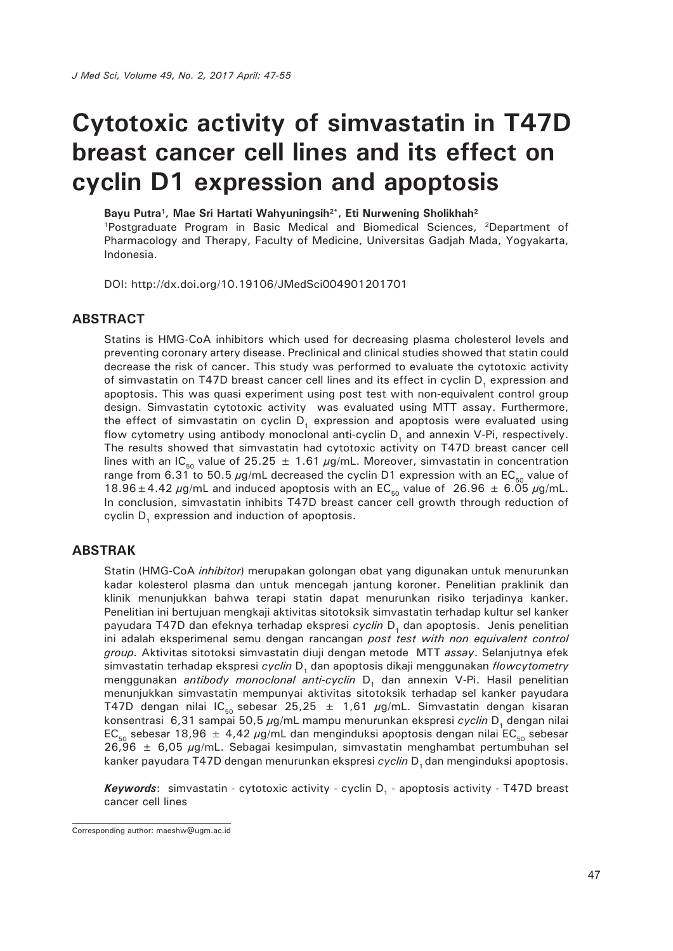# **Cytotoxic activity of simvastatin in T47D breast cancer cell lines and its effect on cyclin D1 expression and apoptosis**

Bayu Putra<sup>1</sup>, Mae Sri Hartati Wahyuningsih<sup>2\*</sup>, Eti Nurwening Sholikhah<sup>2</sup>

1Postgraduate Program in Basic Medical and Biomedical Sciences, 2Department of Pharmacology and Therapy, Faculty of Medicine, Universitas Gadjah Mada, Yogyakarta, Indonesia.

DOI: http://dx.doi.org/10.19106/JMedSci004901201701

#### **ABSTRACT**

Statins is HMG-CoA inhibitors which used for decreasing plasma cholesterol levels and preventing coronary artery disease. Preclinical and clinical studies showed that statin could decrease the risk of cancer. This study was performed to evaluate the cytotoxic activity of simvastatin on T47D breast cancer cell lines and its effect in cyclin D<sub>1</sub> expression and apoptosis. This was quasi experiment using post test with non-equivalent control group design. Simvastatin cytotoxic activity was evaluated using MTT assay. Furthermore, the effect of simvastatin on cyclin D, expression and apoptosis were evaluated using flow cytometry using antibody monoclonal anti-cyclin  $D_1$  and annexin V-Pi, respectively. The results showed that simvastatin had cytotoxic activity on T47D breast cancer cell lines with an IC<sub>50</sub> value of 25.25  $\pm$  1.61  $\mu$ g/mL. Moreover, simvastatin in concentration range from 6.31 to 50.5  $\mu$ g/mL decreased the cyclin D1 expression with an EC<sub>50</sub> value of 18.96  $\pm$  4.42  $\mu$ g/mL and induced apoptosis with an EC<sub>50</sub> value of 26.96  $\pm$  6.05  $\mu$ g/mL. In conclusion, simvastatin inhibits T47D breast cancer cell growth through reduction of cyclin D<sub>r</sub> expression and induction of apoptosis.

#### **ABSTRAK**

Statin (HMG-CoA *inhibitor*) merupakan golongan obat yang digunakan untuk menurunkan kadar kolesterol plasma dan untuk mencegah jantung koroner. Penelitian praklinik dan klinik menunjukkan bahwa terapi statin dapat menurunkan risiko terjadinya kanker. Penelitian ini bertujuan mengkaji aktivitas sitotoksik simvastatin terhadap kultur sel kanker payudara T47D dan efeknya terhadap ekspresi *cyclin* D, dan apoptosis. Jenis penelitian ini adalah eksperimenal semu dengan rancangan *post test with non equivalent control group.* Aktivitas sitotoksi simvastatin diuji dengan metode MTT *assay*. Selanjutnya efek simvastatin terhadap ekspresi *cyclin* D<sub>1</sub> dan apoptosis dikaji menggunakan *flowcytometry* menggunakan *antibody monoclonal anti-cyclin* D<sub>1</sub> dan annexin V-Pi. Hasil penelitian menunjukkan simvastatin mempunyai aktivitas sitotoksik terhadap sel kanker payudara T47D dengan nilai IC<sub>50</sub> sebesar 25,25 ± 1,61  $\mu$ g/mL. Simvastatin dengan kisaran konsentrasi 6,31 sampai 50,5 µg/mL mampu menurunkan ekspresi *cyclin* D<sub>1</sub> dengan nilai EC<sub>50</sub> sebesar 18,96  $\pm$  4,42  $\mu$ g/mL dan menginduksi apoptosis dengan nilai EC<sub>50</sub> sebesar  $26,96 \pm 6,05 \,\mu g/mL$ . Sebagai kesimpulan, simvastatin menghambat pertumbuhan sel kanker payudara T47D dengan menurunkan ekspresi *cyclin* D<sub>1</sub> dan menginduksi apoptosis.

*Keywords*: simvastatin - cytotoxic activity - cyclin D<sub>1</sub> - apoptosis activity - T47D breast cancer cell lines

Corresponding author: maeshw@ugm.ac.id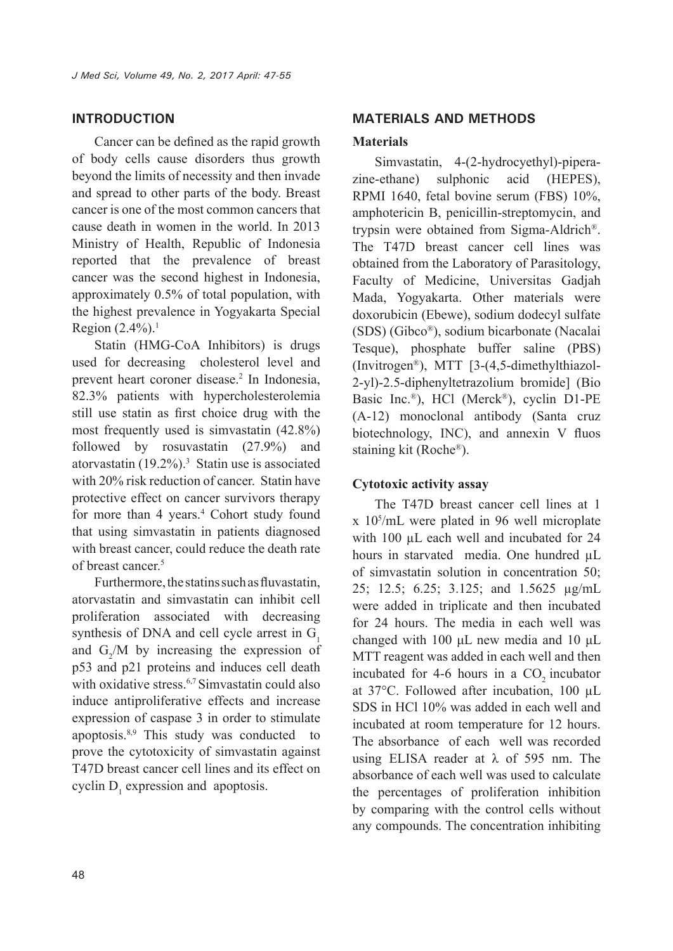### **INTRODUCTION**

Cancer can be defined as the rapid growth of body cells cause disorders thus growth beyond the limits of necessity and then invade and spread to other parts of the body. Breast cancer is one of the most common cancers that cause death in women in the world. In 2013 Ministry of Health, Republic of Indonesia reported that the prevalence of breast cancer was the second highest in Indonesia, approximately 0.5% of total population, with the highest prevalence in Yogyakarta Special Region  $(2.4\%)$ <sup>1</sup>

Statin (HMG-CoA Inhibitors) is drugs used for decreasing cholesterol level and prevent heart coroner disease.<sup>2</sup> In Indonesia, 82.3% patients with hypercholesterolemia still use statin as first choice drug with the most frequently used is simvastatin (42.8%) followed by rosuvastatin (27.9%) and atorvastatin  $(19.2\%)$ <sup>3</sup> Statin use is associated with 20% risk reduction of cancer. Statin have protective effect on cancer survivors therapy for more than 4 years.<sup>4</sup> Cohort study found that using simvastatin in patients diagnosed with breast cancer, could reduce the death rate of breast cancer<sup>5</sup>

Furthermore, the statins such as fluvastatin, atorvastatin and simvastatin can inhibit cell proliferation associated with decreasing synthesis of DNA and cell cycle arrest in  $G<sub>1</sub>$ and  $G_2/M$  by increasing the expression of p53 and p21 proteins and induces cell death with oxidative stress.<sup>6,7</sup> Simvastatin could also induce antiproliferative effects and increase expression of caspase 3 in order to stimulate apoptosis.8,9 This study was conducted to prove the cytotoxicity of simvastatin against T47D breast cancer cell lines and its effect on cyclin  $D_1$  expression and apoptosis.

#### **MATERIALS AND METHODS**

#### **Materials**

Simvastatin, 4-(2-hydrocyethyl)-piperazine-ethane) sulphonic acid (HEPES), RPMI 1640, fetal bovine serum (FBS) 10%, amphotericin B, penicillin-streptomycin, and trypsin were obtained from Sigma-Aldrich®. The T47D breast cancer cell lines was obtained from the Laboratory of Parasitology, Faculty of Medicine, Universitas Gadjah Mada, Yogyakarta. Other materials were doxorubicin (Ebewe), sodium dodecyl sulfate (SDS) (Gibco®), sodium bicarbonate (Nacalai Tesque), phosphate buffer saline (PBS) (Invitrogen®), MTT [3-(4,5-dimethylthiazol-2-yl)-2.5-diphenyltetrazolium bromide] (Bio Basic Inc.®), HCl (Merck®), cyclin D1-PE (A-12) monoclonal antibody (Santa cruz biotechnology, INC), and annexin V fluos staining kit (Roche®).

### **Cytotoxic activity assay**

The T47D breast cancer cell lines at 1 x 105 /mL were plated in 96 well microplate with 100  $\mu$ L each well and incubated for 24 hours in starvated media. One hundred  $\mu$ L of simvastatin solution in concentration 50; 25; 12.5; 6.25; 3.125; and 1.5625 µg/mL were added in triplicate and then incubated for 24 hours. The media in each well was changed with 100 μL new media and 10 μL MTT reagent was added in each well and then incubated for  $4-6$  hours in a CO<sub>2</sub> incubator at 37°C. Followed after incubation, 100 µL SDS in HCl 10% was added in each well and incubated at room temperature for 12 hours. The absorbance of each well was recorded using ELISA reader at  $\lambda$  of 595 nm. The absorbance of each well was used to calculate the percentages of proliferation inhibition by comparing with the control cells without any compounds. The concentration inhibiting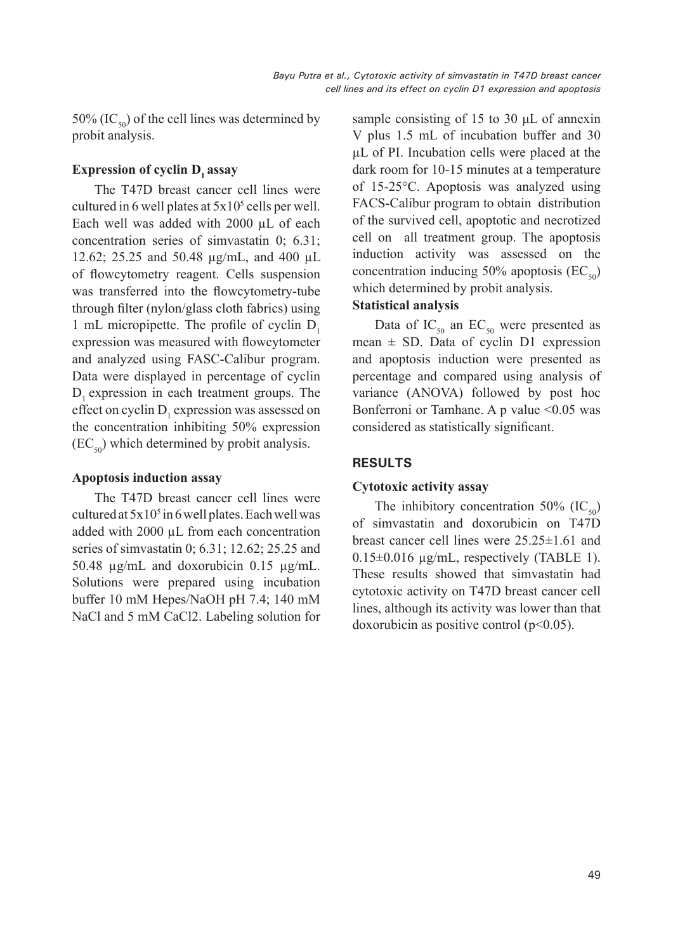50% (IC $_{50}$ ) of the cell lines was determined by probit analysis.

## **Expression of cyclin D<sub>1</sub> assay**

The T47D breast cancer cell lines were cultured in 6 well plates at  $5x10^5$  cells per well. Each well was added with 2000 µL of each concentration series of simvastatin 0; 6.31; 12.62; 25.25 and 50.48 µg/mL, and 400 µL of flowcytometry reagent. Cells suspension was transferred into the flowcytometry-tube through filter (nylon/glass cloth fabrics) using 1 mL micropipette. The profile of cyclin  $D_1$ expression was measured with flowcytometer and analyzed using FASC-Calibur program. Data were displayed in percentage of cyclin D, expression in each treatment groups. The effect on cyclin  $D_1$  expression was assessed on the concentration inhibiting 50% expression  $(EC_{50})$  which determined by probit analysis.

### **Apoptosis induction assay**

The T47D breast cancer cell lines were cultured at  $5x10<sup>5</sup>$  in 6 well plates. Each well was added with 2000 µL from each concentration series of simvastatin 0; 6.31; 12.62; 25.25 and 50.48 µg/mL and doxorubicin 0.15 µg/mL. Solutions were prepared using incubation buffer 10 mM Hepes/NaOH pH 7.4; 140 mM NaCl and 5 mM CaCl2. Labeling solution for

sample consisting of 15 to 30 μL of annexin V plus 1.5 mL of incubation buffer and 30 µL of PI. Incubation cells were placed at the dark room for 10-15 minutes at a temperature of 15-25°C. Apoptosis was analyzed using FACS-Calibur program to obtain distribution of the survived cell, apoptotic and necrotized cell on all treatment group. The apoptosis induction activity was assessed on the concentration inducing 50% apoptosis  $(EC_{50})$ which determined by probit analysis.

### **Statistical analysis**

Data of  $IC_{50}$  an  $EC_{50}$  were presented as mean  $\pm$  SD. Data of cyclin D1 expression and apoptosis induction were presented as percentage and compared using analysis of variance (ANOVA) followed by post hoc Bonferroni or Tamhane. A p value <0.05 was considered as statistically significant.

## **RESULTS**

### **Cytotoxic activity assay**

The inhibitory concentration 50%  $(IC_{50})$ of simvastatin and doxorubicin on T47D breast cancer cell lines were 25.25±1.61 and  $0.15\pm0.016$  µg/mL, respectively (TABLE 1). These results showed that simvastatin had cytotoxic activity on T47D breast cancer cell lines, although its activity was lower than that doxorubicin as positive control  $(p<0.05)$ .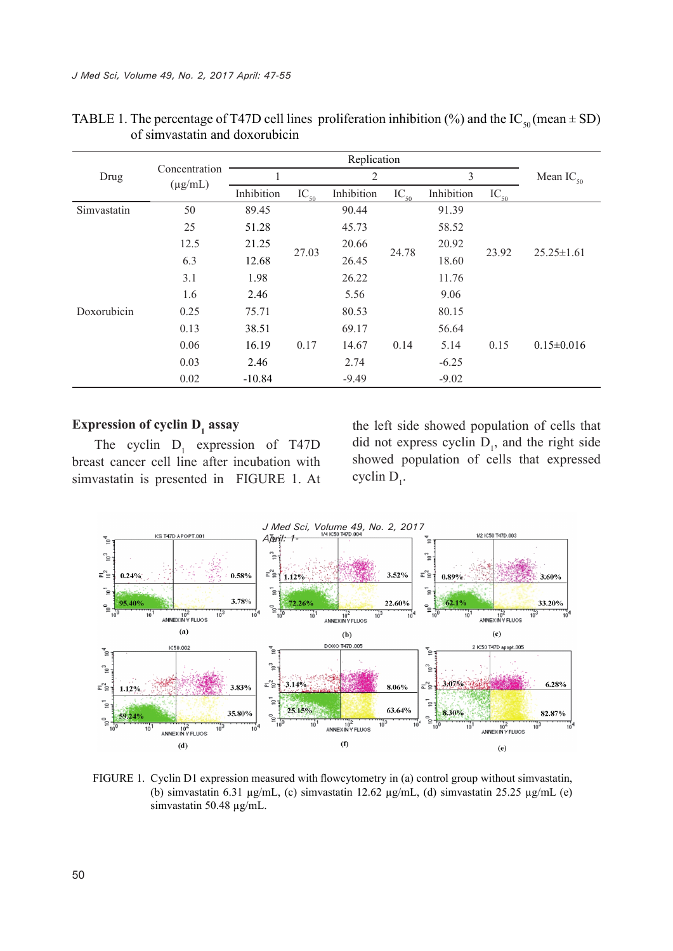|             |                               |            |           | Replication    |           |            |           |                  |
|-------------|-------------------------------|------------|-----------|----------------|-----------|------------|-----------|------------------|
| Drug        | Concentration<br>$(\mu g/mL)$ |            |           | $\overline{2}$ |           | 3          |           | Mean $IC_{50}$   |
|             |                               | Inhibition | $IC_{50}$ | Inhibition     | $IC_{50}$ | Inhibition | $IC_{50}$ |                  |
| Simvastatin | 50                            | 89.45      |           | 90.44          |           | 91.39      |           |                  |
|             | 25                            | 51.28      |           | 45.73          |           | 58.52      |           |                  |
|             | 12.5                          | 21.25      | 27.03     | 20.66          |           | 20.92      |           | $25.25 \pm 1.61$ |
|             | 6.3                           | 12.68      |           | 26.45          | 24.78     | 18.60      | 23.92     |                  |
|             | 3.1                           | 1.98       |           | 26.22          |           | 11.76      |           |                  |
|             | 1.6                           | 2.46       |           | 5.56           |           | 9.06       |           |                  |
| Doxorubicin | 0.25                          | 75.71      |           | 80.53          |           | 80.15      |           |                  |
|             | 0.13                          | 38.51      |           | 69.17          |           | 56.64      |           |                  |
|             | 0.06                          | 16.19      | 0.17      | 14.67          | 0.14      | 5.14       | 0.15      | $0.15 \pm 0.016$ |
|             | 0.03                          | 2.46       |           | 2.74           |           | $-6.25$    |           |                  |
|             | 0.02                          | $-10.84$   |           | $-9.49$        |           | $-9.02$    |           |                  |

|                                | TABLE 1. The percentage of T47D cell lines proliferation inhibition (%) and the IC <sub>50</sub> (mean $\pm$ SD) |
|--------------------------------|------------------------------------------------------------------------------------------------------------------|
| of simvastatin and doxorubicin |                                                                                                                  |

## **Expression of cyclin D<sub>1</sub> assay**

The cyclin  $D_1$  expression of T47D breast cancer cell line after incubation with simvastatin is presented in FIGURE 1. At

the left side showed population of cells that did not express cyclin  $D_1$ , and the right side showed population of cells that expressed cyclin  $D_1$ .



FIGURE 1. Cyclin D1 expression measured with flowcytometry in (a) control group without simvastatin, (b) simvastatin 6.31 µg/mL, (c) simvastatin 12.62 µg/mL, (d) simvastatin 25.25 µg/mL (e) simvastatin 50.48 µg/mL.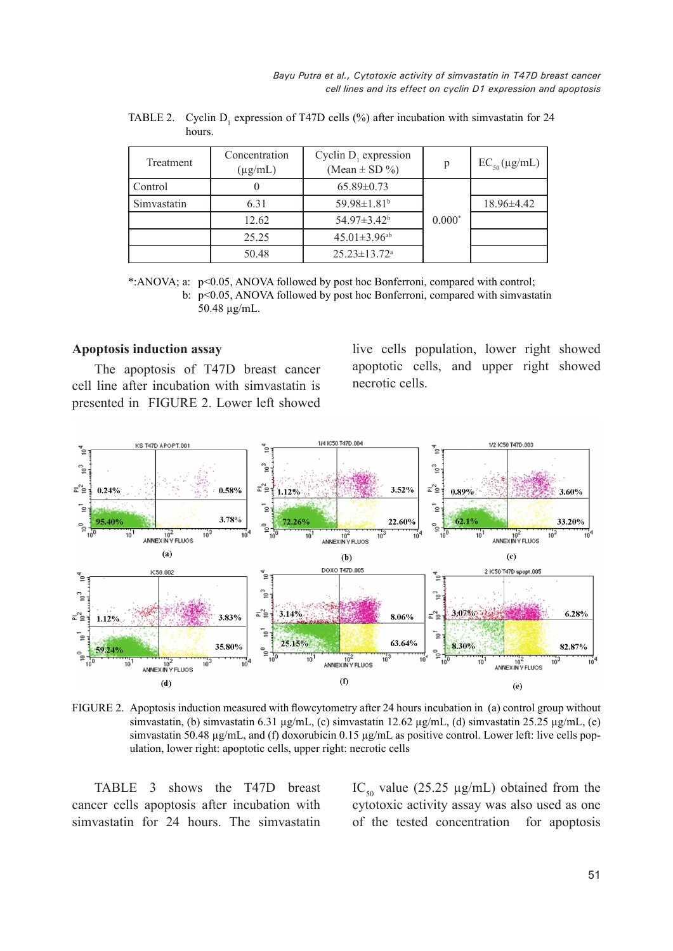| Treatment   | Concentration<br>$(\mu g/mL)$ | Cyclin $D_1$ expression<br>(Mean $\pm$ SD %) | p        | $EC_{50}(\mu g/mL)$ |
|-------------|-------------------------------|----------------------------------------------|----------|---------------------|
| Control     |                               | $65.89 \pm 0.73$                             |          |                     |
| Simvastatin | 6.31                          | 59.98 $\pm$ 1.81 <sup>b</sup>                |          | $18.96\pm4.42$      |
|             | 12.62                         | $54.97 \pm 3.42^b$                           | $0.000*$ |                     |
|             | 25.25                         | $45.01 \pm 3.96$ <sup>ab</sup>               |          |                     |
|             | 50.48                         | $25.23 \pm 13.72$ <sup>a</sup>               |          |                     |

TABLE 2. Cyclin  $D_1$  expression of T47D cells (%) after incubation with simvastatin for 24 hours.

\*:ANOVA; a: p<0.05, ANOVA followed by post hoc Bonferroni, compared with control; b: p<0.05, ANOVA followed by post hoc Bonferroni, compared with simvastatin 50.48 µg/mL.

#### **Apoptosis induction assay**

The apoptosis of T47D breast cancer cell line after incubation with simvastatin is presented in FIGURE 2. Lower left showed live cells population, lower right showed apoptotic cells, and upper right showed necrotic cells.



FIGURE 2. Apoptosis induction measured with flowcytometry after 24 hours incubation in (a) control group without simvastatin, (b) simvastatin 6.31 µg/mL, (c) simvastatin 12.62 µg/mL, (d) simvastatin 25.25 µg/mL, (e) simvastatin 50.48  $\mu$ g/mL, and (f) doxorubicin 0.15  $\mu$ g/mL as positive control. Lower left: live cells population, lower right: apoptotic cells, upper right: necrotic cells

TABLE 3 shows the T47D breast cancer cells apoptosis after incubation with simvastatin for 24 hours. The simvastatin IC<sub>50</sub> value (25.25  $\mu$ g/mL) obtained from the cytotoxic activity assay was also used as one of the tested concentration for apoptosis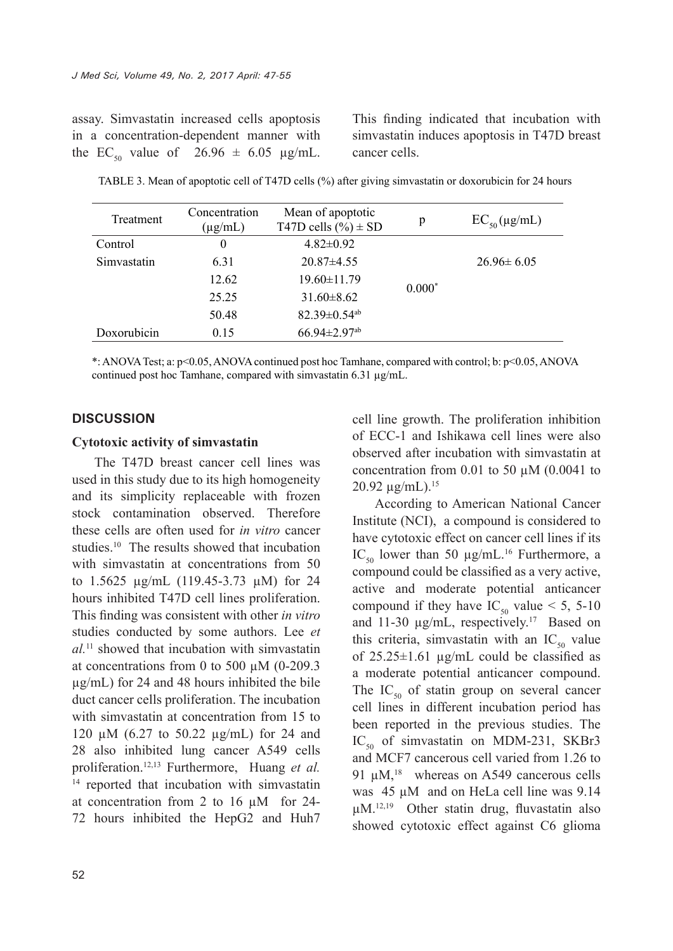assay. Simvastatin increased cells apoptosis in a concentration-dependent manner with the EC<sub>50</sub> value of 26.96  $\pm$  6.05 µg/mL. This finding indicated that incubation with simvastatin induces apoptosis in T47D breast cancer cells.

| Treatment   | Concentration<br>$(\mu g/mL)$ | Mean of apoptotic<br>T47D cells $(\%)\pm SD$ | p        | $EC_{50}(\mu g/mL)$ |
|-------------|-------------------------------|----------------------------------------------|----------|---------------------|
| Control     | $\overline{0}$                | $4.82 \pm 0.92$                              |          |                     |
| Simvastatin | 6.31                          | $20.87\pm4.55$                               |          | $26.96 \pm 6.05$    |
|             | 12.62                         | $19.60 \pm 11.79$                            |          |                     |
|             | 25.25                         | $31.60\pm8.62$                               | $0.000*$ |                     |
|             | 50.48                         | $82.39 \pm 0.54$ <sup>ab</sup>               |          |                     |
| Doxorubicin | 0.15                          | $66.94 \pm 2.97$ <sup>ab</sup>               |          |                     |

TABLE 3. Mean of apoptotic cell of T47D cells (%) after giving simvastatin or doxorubicin for 24 hours

\*: ANOVA Test; a: p<0.05, ANOVA continued post hoc Tamhane, compared with control; b: p<0.05, ANOVA continued post hoc Tamhane, compared with simvastatin 6.31 µg/mL.

#### **DISCUSSION**

#### **Cytotoxic activity of simvastatin**

The T47D breast cancer cell lines was used in this study due to its high homogeneity and its simplicity replaceable with frozen stock contamination observed. Therefore these cells are often used for *in vitro* cancer studies.10 The results showed that incubation with simvastatin at concentrations from 50 to 1.5625 µg/mL (119.45-3.73 µM) for 24 hours inhibited T47D cell lines proliferation. This finding was consistent with other *in vitro* studies conducted by some authors. Lee *et al.*11 showed that incubation with simvastatin at concentrations from 0 to 500  $\mu$ M (0-209.3) µg/mL) for 24 and 48 hours inhibited the bile duct cancer cells proliferation. The incubation with simvastatin at concentration from 15 to 120 µM (6.27 to 50.22 µg/mL) for 24 and 28 also inhibited lung cancer A549 cells proliferation.12,13 Furthermore, Huang *et al.* <sup>14</sup> reported that incubation with simvastatin at concentration from 2 to 16 µM for 24- 72 hours inhibited the HepG2 and Huh7 cell line growth. The proliferation inhibition of ECC-1 and Ishikawa cell lines were also observed after incubation with simvastatin at concentration from 0.01 to 50  $\mu$ M (0.0041 to 20.92 µg/mL).15

According to American National Cancer Institute (NCI), a compound is considered to have cytotoxic effect on cancer cell lines if its IC<sub>50</sub> lower than 50  $\mu$ g/mL.<sup>16</sup> Furthermore, a compound could be classified as a very active, active and moderate potential anticancer compound if they have  $IC_{50}$  value < 5, 5-10 and 11-30  $\mu$ g/mL, respectively.<sup>17</sup> Based on this criteria, simvastatin with an  $IC_{50}$  value of  $25.25 \pm 1.61$  µg/mL could be classified as a moderate potential anticancer compound. The  $IC_{50}$  of statin group on several cancer cell lines in different incubation period has been reported in the previous studies. The  $IC_{50}$  of simvastatin on MDM-231, SKBr3 and MCF7 cancerous cell varied from 1.26 to 91 uM.<sup>18</sup> whereas on A549 cancerous cells was 45  $\mu$ M and on HeLa cell line was 9.14 µM.12,19 Other statin drug, fluvastatin also showed cytotoxic effect against C6 glioma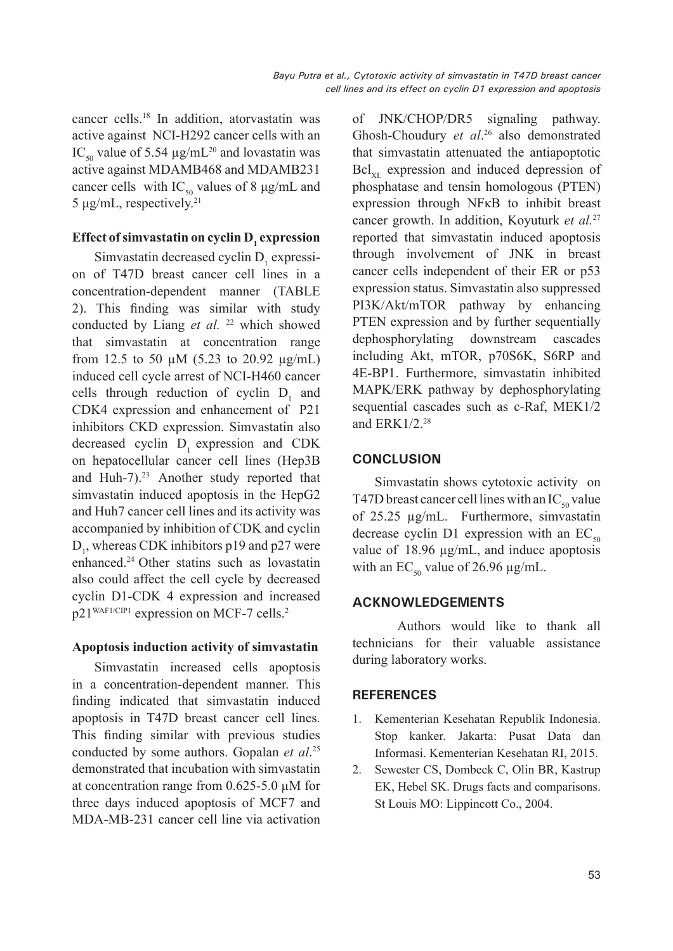cancer cells.18 In addition, atorvastatin was active against NCI-H292 cancer cells with an IC<sub>50</sub> value of 5.54  $\mu$ g/mL<sup>20</sup> and lovastatin was active against MDAMB468 and MDAMB231 cancer cells with  $IC_{50}$  values of 8 μg/mL and 5 μg/mL, respectively.21

# **Effect of simvastatin on cyclin D<sub>1</sub> expression**

Simvastatin decreased cyclin  $D_1$  expression of T47D breast cancer cell lines in a concentration-dependent manner (TABLE 2). This finding was similar with study conducted by Liang *et al.* <sup>22</sup> which showed that simvastatin at concentration range from 12.5 to 50  $\mu$ M (5.23 to 20.92  $\mu$ g/mL) induced cell cycle arrest of NCI-H460 cancer cells through reduction of cyclin  $D_1$  and CDK4 expression and enhancement of P21 inhibitors CKD expression. Simvastatin also decreased cyclin  $D_1$  expression and CDK on hepatocellular cancer cell lines (Hep3B and Huh-7).<sup>23</sup> Another study reported that simvastatin induced apoptosis in the HepG2 and Huh7 cancer cell lines and its activity was accompanied by inhibition of CDK and cyclin  $D_1$ , whereas CDK inhibitors p19 and p27 were enhanced.24 Other statins such as lovastatin also could affect the cell cycle by decreased cyclin D1-CDK 4 expression and increased p21<sup>WAF1/CIP1</sup> expression on MCF-7 cells.<sup>2</sup>

### **Apoptosis induction activity of simvastatin**

Simvastatin increased cells apoptosis in a concentration-dependent manner. This finding indicated that simvastatin induced apoptosis in T47D breast cancer cell lines. This finding similar with previous studies conducted by some authors. Gopalan *et al*. 25 demonstrated that incubation with simvastatin at concentration range from 0.625-5.0 µM for three days induced apoptosis of MCF7 and MDA-MB-231 cancer cell line via activation of JNK/CHOP/DR5 signaling pathway. Ghosh-Choudury *et al*. 26 also demonstrated that simvastatin attenuated the antiapoptotic  $Bcl_{\rm vt}$  expression and induced depression of phosphatase and tensin homologous (PTEN) expression through NFκB to inhibit breast cancer growth. In addition, Koyuturk *et al.*<sup>27</sup> reported that simvastatin induced apoptosis through involvement of JNK in breast cancer cells independent of their ER or p53 expression status. Simvastatin also suppressed PI3K/Akt/mTOR pathway by enhancing PTEN expression and by further sequentially dephosphorylating downstream cascades including Akt, mTOR, p70S6K, S6RP and 4E-BP1. Furthermore, simvastatin inhibited MAPK/ERK pathway by dephosphorylating sequential cascades such as c-Raf, MEK1/2 and  $ERK1/2.<sup>28</sup>$ 

## **CONCLUSION**

Simvastatin shows cytotoxic activity on T47D breast cancer cell lines with an  $IC_{50}$  value of 25.25 µg/mL. Furthermore, simvastatin decrease cyclin D1 expression with an  $EC_{50}$ value of 18.96 µg/mL, and induce apoptosis with an  $EC_{50}$  value of 26.96 µg/mL.

### **ACKNOWLEDGEMENTS**

Authors would like to thank all technicians for their valuable assistance during laboratory works.

### **REFERENCES**

- 1. Kementerian Kesehatan Republik Indonesia. Stop kanker*.* Jakarta: Pusat Data dan Informasi. Kementerian Kesehatan RI, 2015.
- 2. Sewester CS, Dombeck C, Olin BR, Kastrup EK, Hebel SK. Drugs facts and comparisons. St Louis MO: Lippincott Co., 2004.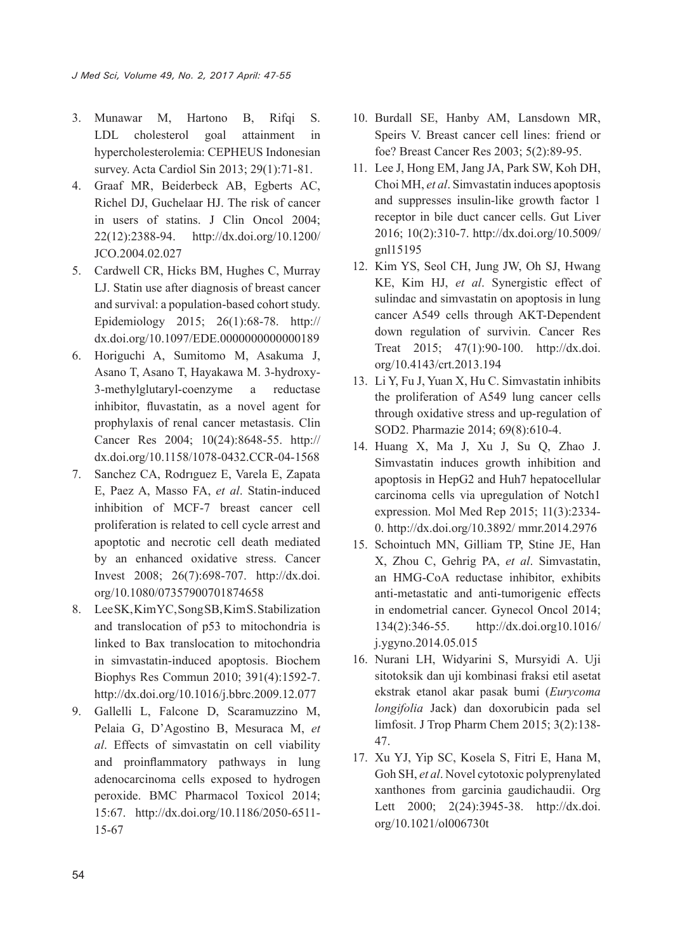- 3. Munawar M, Hartono B, Rifqi S. LDL cholesterol goal attainment in hypercholesterolemia: CEPHEUS Indonesian survey. Acta Cardiol Sin 2013; 29(1):71-81.
- 4. Graaf MR, Beiderbeck AB, Egberts AC, Richel DJ, Guchelaar HJ. The risk of cancer in users of statins. J Clin Oncol 2004; 22(12):2388-94. http://dx.doi.org/10.1200/ JCO.2004.02.027
- 5. Cardwell CR, Hicks BM, Hughes C, Murray LJ. Statin use after diagnosis of breast cancer and survival: a population-based cohort study. Epidemiology 2015; 26(1):68-78. http:// dx.doi.org/10.1097/EDE.0000000000000189
- 6. Horiguchi A, Sumitomo M, Asakuma J, Asano T, Asano T, Hayakawa M. 3-hydroxy-3-methylglutaryl-coenzyme a reductase inhibitor, fluvastatin, as a novel agent for prophylaxis of renal cancer metastasis. Clin Cancer Res 2004; 10(24):8648-55. http:// dx.doi.org/10.1158/1078-0432.CCR-04-1568
- 7. Sanchez CA, Rodrıguez E, Varela E, Zapata E, Paez A, Masso FA, *et al*. Statin-induced inhibition of MCF-7 breast cancer cell proliferation is related to cell cycle arrest and apoptotic and necrotic cell death mediated by an enhanced oxidative stress. Cancer Invest 2008; 26(7):698-707. http://dx.doi. org/10.1080/07357900701874658
- 8. Lee SK, Kim YC, Song SB, Kim S. Stabilization and translocation of p53 to mitochondria is linked to Bax translocation to mitochondria in simvastatin-induced apoptosis. Biochem Biophys Res Commun 2010; 391(4):1592-7. http://dx.doi.org/10.1016/j.bbrc.2009.12.077
- 9. Gallelli L, Falcone D, Scaramuzzino M, Pelaia G, D'Agostino B, Mesuraca M, *et al*. Effects of simvastatin on cell viability and proinflammatory pathways in lung adenocarcinoma cells exposed to hydrogen peroxide. BMC Pharmacol Toxicol 2014; 15:67. http://dx.doi.org/10.1186/2050-6511- 15-67
- 10. Burdall SE, Hanby AM, Lansdown MR, Speirs V. Breast cancer cell lines: friend or foe? Breast Cancer Res 2003; 5(2):89-95.
- 11. Lee J, Hong EM, Jang JA, Park SW, Koh DH, Choi MH, *et al*. Simvastatin induces apoptosis and suppresses insulin-like growth factor 1 receptor in bile duct cancer cells. Gut Liver 2016; 10(2):310-7. http://dx.doi.org/10.5009/ gnl15195
- 12. Kim YS, Seol CH, Jung JW, Oh SJ, Hwang KE, Kim HJ, *et al*. Synergistic effect of sulindac and simvastatin on apoptosis in lung cancer A549 cells through AKT-Dependent down regulation of survivin. Cancer Res Treat 2015; 47(1):90-100. http://dx.doi. org/10.4143/crt.2013.194
- 13. Li Y, Fu J, Yuan X, Hu C. Simvastatin inhibits the proliferation of A549 lung cancer cells through oxidative stress and up-regulation of SOD2. Pharmazie 2014; 69(8):610-4.
- 14. Huang X, Ma J, Xu J, Su Q, Zhao J. Simvastatin induces growth inhibition and apoptosis in HepG2 and Huh7 hepatocellular carcinoma cells via upregulation of Notch1 expression. Mol Med Rep 2015; 11(3):2334- 0. http://dx.doi.org/10.3892/ mmr.2014.2976
- 15. Schointuch MN, Gilliam TP, Stine JE, Han X, Zhou C, Gehrig PA, *et al*. Simvastatin, an HMG-CoA reductase inhibitor, exhibits anti-metastatic and anti-tumorigenic effects in endometrial cancer. Gynecol Oncol 2014; 134(2):346-55. http://dx.doi.org10.1016/ j.ygyno.2014.05.015
- 16. Nurani LH, Widyarini S, Mursyidi A. Uji sitotoksik dan uji kombinasi fraksi etil asetat ekstrak etanol akar pasak bumi (*Eurycoma longifolia* Jack) dan doxorubicin pada sel limfosit. J Trop Pharm Chem 2015; 3(2):138- 47.
- 17. Xu YJ, Yip SC, Kosela S, Fitri E, Hana M, Goh SH, *et al*. Novel cytotoxic polyprenylated xanthones from garcinia gaudichaudii. Org Lett 2000; 2(24):3945-38. http://dx.doi. org/10.1021/ol006730t